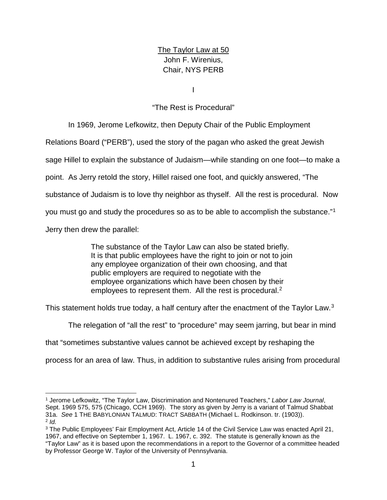The Taylor Law at 50 John F. Wirenius, Chair, NYS PERB

I

# "The Rest is Procedural"

In 1969, Jerome Lefkowitz, then Deputy Chair of the Public Employment Relations Board ("PERB"), used the story of the pagan who asked the great Jewish sage Hillel to explain the substance of Judaism—while standing on one foot—to make a point. As Jerry retold the story, Hillel raised one foot, and quickly answered, "The substance of Judaism is to love thy neighbor as thyself. All the rest is procedural. Now you must go and study the procedures so as to be able to accomplish the substance."[1](#page-0-0) Jerry then drew the parallel:

> The substance of the Taylor Law can also be stated briefly. It is that public employees have the right to join or not to join any employee organization of their own choosing, and that public employers are required to negotiate with the employee organizations which have been chosen by their

employees to represent them. All the rest is procedural.<sup>[2](#page-0-1)</sup>

This statement holds true today, a half century after the enactment of the Taylor Law.<sup>3</sup>

The relegation of "all the rest" to "procedure" may seem jarring, but bear in mind

that "sometimes substantive values cannot be achieved except by reshaping the

process for an area of law. Thus, in addition to substantive rules arising from procedural

<span id="page-0-0"></span> <sup>1</sup> Jerome Lefkowitz, "The Taylor Law, Discrimination and Nontenured Teachers," *Labor Law Journal*, Sept. 1969 575, 575 (Chicago, CCH 1969). The story as given by Jerry is a variant of Talmud Shabbat 31a. *See* 1 THE BABYLONIAN TALMUD: TRACT SABBATH (Michael L. Rodkinson. tr. (1903)). <sup>2</sup> *Id.*

<span id="page-0-2"></span><span id="page-0-1"></span><sup>3</sup> The Public Employees' Fair Employment Act, Article 14 of the Civil Service Law was enacted April 21, 1967, and effective on September 1, 1967. L. 1967, c. 392. The statute is generally known as the

<sup>&</sup>quot;Taylor Law" as it is based upon the recommendations in a report to the Governor of a committee headed by Professor George W. Taylor of the University of Pennsylvania.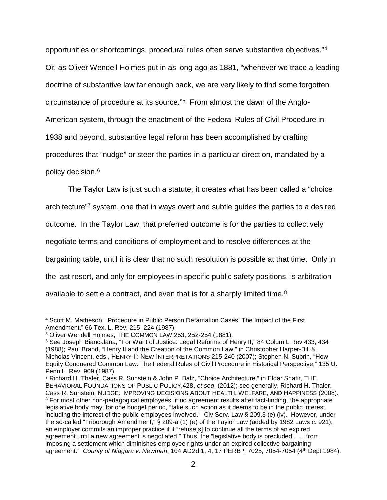opportunities or shortcomings, procedural rules often serve substantive objectives."[4](#page-1-0)  Or, as Oliver Wendell Holmes put in as long ago as 1881, "whenever we trace a leading doctrine of substantive law far enough back, we are very likely to find some forgotten circumstance of procedure at its source."[5](#page-1-1) From almost the dawn of the Anglo-American system, through the enactment of the Federal Rules of Civil Procedure in 1938 and beyond, substantive legal reform has been accomplished by crafting procedures that "nudge" or steer the parties in a particular direction, mandated by a policy decision. [6](#page-1-2)

The Taylor Law is just such a statute; it creates what has been called a "choice

architecture"[7](#page-1-3) system, one that in ways overt and subtle guides the parties to a desired

outcome. In the Taylor Law, that preferred outcome is for the parties to collectively

negotiate terms and conditions of employment and to resolve differences at the

bargaining table, until it is clear that no such resolution is possible at that time. Only in

the last resort, and only for employees in specific public safety positions, is arbitration

available to settle a contract, and even that is for a sharply limited time.<sup>[8](#page-1-4)</sup>

<span id="page-1-0"></span> <sup>4</sup> Scott M. Matheson, "Procedure in Public Person Defamation Cases: The Impact of the First Amendment," 66 Tex. L. Rev. 215, 224 (1987).

<span id="page-1-1"></span><sup>5</sup> Oliver Wendell Holmes, THE COMMON LAW 253, 252-254 (1881).

<span id="page-1-2"></span><sup>6</sup> See Joseph Biancalana, "For Want of Justice: Legal Reforms of Henry II," 84 Colum L Rev 433, 434 (1988); Paul Brand, "Henry II and the Creation of the Common Law," in Christopher Harper-Bill & Nicholas Vincent, eds., HENRY II: NEW INTERPRETATIONS 215-240 (2007); Stephen N. Subrin, "How Equity Conquered Common Law: The Federal Rules of Civil Procedure in Historical Perspective," 135 U. Penn L. Rev. 909 (1987).

<span id="page-1-4"></span><span id="page-1-3"></span><sup>7</sup> Richard H. Thaler, Cass R. Sunstein & John P. Balz, "Choice Architecture," in Eldar Shafir, THE BEHAVIORAL FOUNDATIONS OF PUBLIC POLICY,428, *et seq*. (2012); see generally, Richard H. Thaler, Cass R. Sunstein, NUDGE: IMPROVING DECISIONS ABOUT HEALTH, WELFARE, AND HAPPINESS (2008). <sup>8</sup> For most other non-pedagogical employees, if no agreement results after fact-finding, the appropriate legislative body may, for one budget period, "take such action as it deems to be in the public interest, including the interest of the public employees involved." Civ Serv. Law § 209.3 (e) (iv). However, under the so-called "Triborough Amendment," § 209-a (1) (e) of the Taylor Law (added by 1982 Laws c. 921), an employer commits an improper practice if it "refuse[s] to continue all the terms of an expired agreement until a new agreement is negotiated." Thus, the "legislative body is precluded . . . from imposing a settlement which diminishes employee rights under an expired collective bargaining agreement." *County of Niagara v. Newman*, 104 AD2d 1, 4, 17 PERB ¶ 7025, 7054-7054 (4th Dept 1984).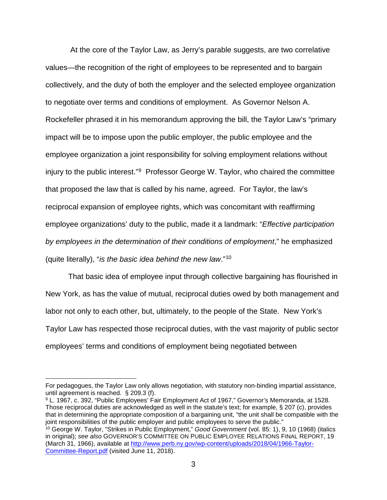At the core of the Taylor Law, as Jerry's parable suggests, are two correlative values—the recognition of the right of employees to be represented and to bargain collectively, and the duty of both the employer and the selected employee organization to negotiate over terms and conditions of employment. As Governor Nelson A. Rockefeller phrased it in his memorandum approving the bill, the Taylor Law's "primary impact will be to impose upon the public employer, the public employee and the employee organization a joint responsibility for solving employment relations without injury to the public interest."[9](#page-2-0) Professor George W. Taylor, who chaired the committee that proposed the law that is called by his name, agreed. For Taylor, the law's reciprocal expansion of employee rights, which was concomitant with reaffirming employee organizations' duty to the public, made it a landmark: "*Effective participation by employees in the determination of their conditions of employment*," he emphasized (quite literally), "*is the basic idea behind the new law*."[10](#page-2-1)

That basic idea of employee input through collective bargaining has flourished in New York, as has the value of mutual, reciprocal duties owed by both management and labor not only to each other, but, ultimately, to the people of the State. New York's Taylor Law has respected those reciprocal duties, with the vast majority of public sector employees' terms and conditions of employment being negotiated between

For pedagogues, the Taylor Law only allows negotiation, with statutory non-binding impartial assistance, until agreement is reached. § 209.3 (f).

<span id="page-2-0"></span><sup>9</sup> L. 1967, c. 392, "Public Employees' Fair Employment Act of 1967," Governor's Memoranda, at 1528. Those reciprocal duties are acknowledged as well in the statute's text; for example, § 207 (c), provides that in determining the appropriate composition of a bargaining unit, "the unit shall be compatible with the joint responsibilities of the public employer and public employees to serve the public."

<span id="page-2-1"></span><sup>10</sup> George W. Taylor, "Strikes in Public Employment," *Good Government* (vol. 85: 1), 9, 10 (1968) (italics in original); *see also* GOVERNOR'S COMMITTEE ON PUBLIC EMPLOYEE RELATIONS FINAL REPORT, 19 (March 31, 1966), available at [http://www.perb.ny.gov/wp-content/uploads/2018/04/1966-Taylor-](http://www.perb.ny.gov/wp-content/uploads/2018/04/1966-Taylor-Committee-Report.pdf)[Committee-Report.pdf](http://www.perb.ny.gov/wp-content/uploads/2018/04/1966-Taylor-Committee-Report.pdf) (visited June 11, 2018).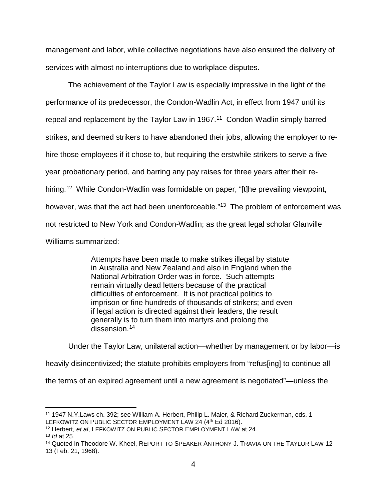management and labor, while collective negotiations have also ensured the delivery of services with almost no interruptions due to workplace disputes.

The achievement of the Taylor Law is especially impressive in the light of the performance of its predecessor, the Condon-Wadlin Act, in effect from 1947 until its repeal and replacement by the Taylor Law in 1967. [11](#page-3-0) Condon-Wadlin simply barred strikes, and deemed strikers to have abandoned their jobs, allowing the employer to rehire those employees if it chose to, but requiring the erstwhile strikers to serve a fiveyear probationary period, and barring any pay raises for three years after their re-hiring.<sup>[12](#page-3-1)</sup> While Condon-Wadlin was formidable on paper, "[t]he prevailing viewpoint, however, was that the act had been unenforceable."<sup>13</sup> The problem of enforcement was not restricted to New York and Condon-Wadlin; as the great legal scholar Glanville Williams summarized:

> Attempts have been made to make strikes illegal by statute in Australia and New Zealand and also in England when the National Arbitration Order was in force. Such attempts remain virtually dead letters because of the practical difficulties of enforcement. It is not practical politics to imprison or fine hundreds of thousands of strikers; and even if legal action is directed against their leaders, the result generally is to turn them into martyrs and prolong the dissension.<sup>[14](#page-3-3)</sup>

Under the Taylor Law, unilateral action—whether by management or by labor—is heavily disincentivized; the statute prohibits employers from "refus[ing] to continue all the terms of an expired agreement until a new agreement is negotiated"—unless the

<span id="page-3-0"></span> <sup>11</sup> 1947 N.Y.Laws ch. 392; see William A. Herbert, Philip L. Maier, & Richard Zuckerman, eds, 1 LEFKOWITZ ON PUBLIC SECTOR EMPLOYMENT LAW 24 (4th Ed 2016).

<span id="page-3-2"></span><span id="page-3-1"></span><sup>12</sup> Herbert, *et al*, LEFKOWITZ ON PUBLIC SECTOR EMPLOYMENT LAW at 24.

<sup>13</sup> *Id* at 25.

<span id="page-3-3"></span><sup>&</sup>lt;sup>14</sup> Quoted in Theodore W. Kheel, REPORT TO SPEAKER ANTHONY J. TRAVIA ON THE TAYLOR LAW 12-13 (Feb. 21, 1968).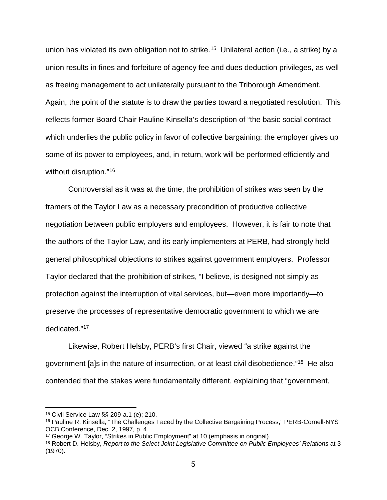union has violated its own obligation not to strike.<sup>[15](#page-4-0)</sup> Unilateral action (i.e., a strike) by a union results in fines and forfeiture of agency fee and dues deduction privileges, as well as freeing management to act unilaterally pursuant to the Triborough Amendment. Again, the point of the statute is to draw the parties toward a negotiated resolution. This reflects former Board Chair Pauline Kinsella's description of "the basic social contract which underlies the public policy in favor of collective bargaining: the employer gives up some of its power to employees, and, in return, work will be performed efficiently and without disruption."[16](#page-4-1)

Controversial as it was at the time, the prohibition of strikes was seen by the framers of the Taylor Law as a necessary precondition of productive collective negotiation between public employers and employees. However, it is fair to note that the authors of the Taylor Law, and its early implementers at PERB, had strongly held general philosophical objections to strikes against government employers. Professor Taylor declared that the prohibition of strikes, "I believe, is designed not simply as protection against the interruption of vital services, but—even more importantly—to preserve the processes of representative democratic government to which we are dedicated."[17](#page-4-2)

Likewise, Robert Helsby, PERB's first Chair, viewed "a strike against the government [a]s in the nature of insurrection, or at least civil disobedience.["18](#page-4-3) He also contended that the stakes were fundamentally different, explaining that "government,

<span id="page-4-0"></span> <sup>15</sup> Civil Service Law §§ 209-a.1 (e); 210.

<span id="page-4-1"></span><sup>&</sup>lt;sup>16</sup> Pauline R. Kinsella, "The Challenges Faced by the Collective Bargaining Process," PERB-Cornell-NYS OCB Conference, Dec. 2, 1997, p. 4.

<span id="page-4-2"></span><sup>17</sup> George W. Taylor, "Strikes in Public Employment" at 10 (emphasis in original).

<span id="page-4-3"></span><sup>18</sup> Robert D. Helsby, *Report to the Select Joint Legislative Committee on Public Employees' Relations* at 3 (1970).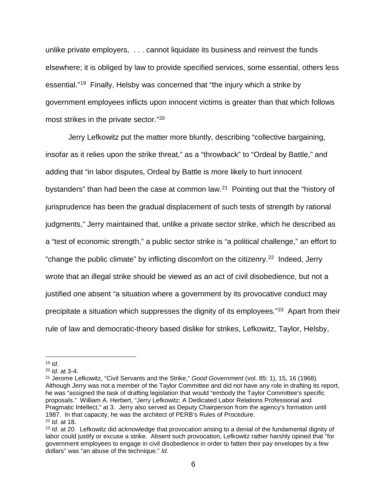unlike private employers, . . . cannot liquidate its business and reinvest the funds elsewhere; it is obliged by law to provide specified services, some essential, others less essential."[19](#page-5-0) Finally, Helsby was concerned that "the injury which a strike by government employees inflicts upon innocent victims is greater than that which follows most strikes in the private sector."[20](#page-5-1)

Jerry Lefkowitz put the matter more bluntly, describing "collective bargaining, insofar as it relies upon the strike threat," as a "throwback" to "Ordeal by Battle," and adding that "in labor disputes, Ordeal by Battle is more likely to hurt innocent bystanders" than had been the case at common law. $2<sup>1</sup>$  Pointing out that the "history of jurisprudence has been the gradual displacement of such tests of strength by rational judgments," Jerry maintained that, unlike a private sector strike, which he described as a "test of economic strength," a public sector strike is "a political challenge," an effort to "change the public climate" by inflicting discomfort on the citizenry.<sup>22</sup> Indeed, Jerry wrote that an illegal strike should be viewed as an act of civil disobedience, but not a justified one absent "a situation where a government by its provocative conduct may precipitate a situation which suppresses the dignity of its employees."[23](#page-5-4) Apart from their rule of law and democratic-theory based dislike for strikes, Lefkowitz, Taylor, Helsby,

<span id="page-5-2"></span><sup>21</sup> Jerome Lefkowitz, "Civil Servants and the Strike," *Good Government* (vol. 85: 1), 15, 16 (1968). Although Jerry was not a member of the Taylor Committee and did not have any role in drafting its report, he was "assigned the task of drafting legislation that would "embody the Taylor Committee's specific proposals." William A. Herbert, "Jerry Lefkowitz: A Dedicated Labor Relations Professional and Pragmatic Intellect," at 3. Jerry also served as Deputy Chairperson from the agency's formation until 1987. In that capacity, he was the architect of PERB's Rules of Procedure. <sup>22</sup> *Id*. at 18.

<span id="page-5-0"></span> <sup>19</sup> *Id*.

<span id="page-5-1"></span><sup>20</sup> *Id*. at 3-4.

<span id="page-5-4"></span><span id="page-5-3"></span><sup>&</sup>lt;sup>23</sup> *Id.* at 20. Lefkowitz did acknowledge that provocation arising to a denial of the fundamental dignity of labor could justify or excuse a strike. Absent such provocation, Lefkowitz rather harshly opined that "for government employees to engage in civil disobedience in order to fatten their pay envelopes by a few dollars" was "an abuse of the technique." *Id*.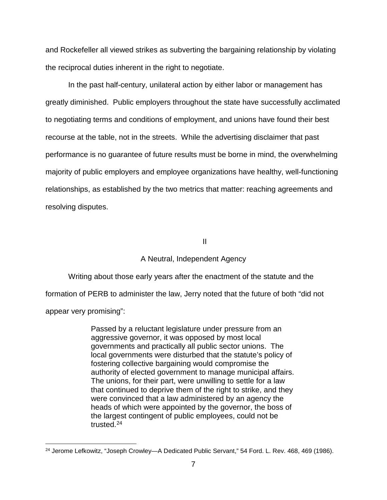and Rockefeller all viewed strikes as subverting the bargaining relationship by violating the reciprocal duties inherent in the right to negotiate.

In the past half-century, unilateral action by either labor or management has greatly diminished. Public employers throughout the state have successfully acclimated to negotiating terms and conditions of employment, and unions have found their best recourse at the table, not in the streets. While the advertising disclaimer that past performance is no guarantee of future results must be borne in mind, the overwhelming majority of public employers and employee organizations have healthy, well-functioning relationships, as established by the two metrics that matter: reaching agreements and resolving disputes.

II

#### A Neutral, Independent Agency

Writing about those early years after the enactment of the statute and the formation of PERB to administer the law, Jerry noted that the future of both "did not appear very promising":

> Passed by a reluctant legislature under pressure from an aggressive governor, it was opposed by most local governments and practically all public sector unions. The local governments were disturbed that the statute's policy of fostering collective bargaining would compromise the authority of elected government to manage municipal affairs. The unions, for their part, were unwilling to settle for a law that continued to deprive them of the right to strike, and they were convinced that a law administered by an agency the heads of which were appointed by the governor, the boss of the largest contingent of public employees, could not be trusted.[24](#page-6-0)

<span id="page-6-0"></span><sup>&</sup>lt;sup>24</sup> Jerome Lefkowitz, "Joseph Crowley-A Dedicated Public Servant," 54 Ford. L. Rev. 468, 469 (1986).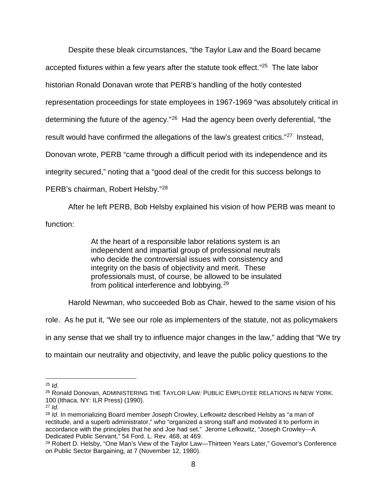Despite these bleak circumstances, "the Taylor Law and the Board became accepted fixtures within a few years after the statute took effect."[25](#page-7-0) The late labor historian Ronald Donavan wrote that PERB's handling of the hotly contested representation proceedings for state employees in 1967-1969 "was absolutely critical in determining the future of the agency."[26](#page-7-1) Had the agency been overly deferential, "the result would have confirmed the allegations of the law's greatest critics."<sup>27</sup> Instead, Donovan wrote, PERB "came through a difficult period with its independence and its integrity secured," noting that a "good deal of the credit for this success belongs to PERB's chairman, Robert Helsby."[28](#page-7-3) 

After he left PERB, Bob Helsby explained his vision of how PERB was meant to function:

> At the heart of a responsible labor relations system is an independent and impartial group of professional neutrals who decide the controversial issues with consistency and integrity on the basis of objectivity and merit. These professionals must, of course, be allowed to be insulated from political interference and lobbying.[29](#page-7-4)

Harold Newman, who succeeded Bob as Chair, hewed to the same vision of his

role. As he put it, "We see our role as implementers of the statute, not as policymakers

in any sense that we shall try to influence major changes in the law," adding that "We try

to maintain our neutrality and objectivity, and leave the public policy questions to the

<span id="page-7-0"></span> $25$  *Id.* 

<span id="page-7-1"></span><sup>&</sup>lt;sup>26</sup> Ronald Donovan, ADMINISTERING THE TAYLOR LAW: PUBLIC EMPLOYEE RELATIONS IN NEW YORK. <sup>100</sup> (Ithaca, NY: ILR Press) (1990). 27 *Id*.

<span id="page-7-2"></span>

<span id="page-7-3"></span><sup>28</sup> *Id*. In memorializing Board member Joseph Crowley, Lefkowitz described Helsby as "a man of rectitude, and a superb administrator," who "organized a strong staff and motivated it to perform in accordance with the principles that he and Joe had set." Jerome Lefkowitz, "Joseph Crowley-A<br>Dedicated Public Servant," 54 Ford. L. Rev. 468, at 469.

<span id="page-7-4"></span> $29$  Robert D. Helsby, "One Man's View of the Taylor Law—Thirteen Years Later," Governor's Conference on Public Sector Bargaining, at 7 (November 12, 1980).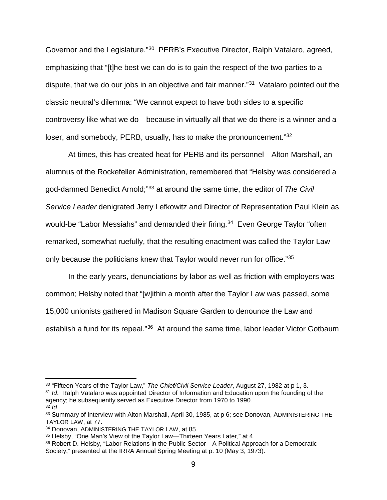Governor and the Legislature."[30](#page-8-0) PERB's Executive Director, Ralph Vatalaro, agreed, emphasizing that "[t]he best we can do is to gain the respect of the two parties to a dispute, that we do our jobs in an objective and fair manner."[31](#page-8-1) Vatalaro pointed out the classic neutral's dilemma: "We cannot expect to have both sides to a specific controversy like what we do—because in virtually all that we do there is a winner and a loser, and somebody, PERB, usually, has to make the pronouncement.["32](#page-8-2)

At times, this has created heat for PERB and its personnel—Alton Marshall, an alumnus of the Rockefeller Administration, remembered that "Helsby was considered a god-damned Benedict Arnold;"[33](#page-8-3) at around the same time, the editor of *The Civil Service Leader* denigrated Jerry Lefkowitz and Director of Representation Paul Klein as would-be "Labor Messiahs" and demanded their firing.<sup>[34](#page-8-4)</sup> Even George Taylor "often remarked, somewhat ruefully, that the resulting enactment was called the Taylor Law only because the politicians knew that Taylor would never run for office."[35](#page-8-5)

In the early years, denunciations by labor as well as friction with employers was common; Helsby noted that "[w]ithin a month after the Taylor Law was passed, some 15,000 unionists gathered in Madison Square Garden to denounce the Law and establish a fund for its repeal."[36](#page-8-6) At around the same time, labor leader Victor Gotbaum

<span id="page-8-0"></span> <sup>30</sup> "Fifteen Years of the Taylor Law," *The Chief/Civil Service Leader*, August 27, 1982 at p 1, 3.

<span id="page-8-1"></span><sup>&</sup>lt;sup>31</sup> *Id.* Ralph Vatalaro was appointed Director of Information and Education upon the founding of the agency; he subsequently served as Executive Director from 1970 to 1990. 32 *Id*.

<span id="page-8-3"></span><span id="page-8-2"></span><sup>33</sup> Summary of Interview with Alton Marshall, April 30, 1985, at p 6; see Donovan, ADMINISTERING THE TAYLOR LAW, at 77.

<span id="page-8-4"></span><sup>34</sup> Donovan, ADMINISTERING THE TAYLOR LAW, at 85.

<span id="page-8-5"></span><sup>35</sup> Helsby, "One Man's View of the Taylor Law—Thirteen Years Later," at 4.

<span id="page-8-6"></span><sup>36</sup> Robert D. Helsby, "Labor Relations in the Public Sector—A Political Approach for a Democratic Society," presented at the IRRA Annual Spring Meeting at p. 10 (May 3, 1973).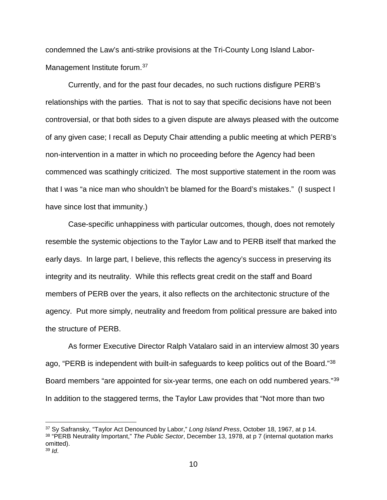condemned the Law's anti-strike provisions at the Tri-County Long Island Labor-Management Institute forum.<sup>[37](#page-9-0)</sup>

Currently, and for the past four decades, no such ructions disfigure PERB's relationships with the parties. That is not to say that specific decisions have not been controversial, or that both sides to a given dispute are always pleased with the outcome of any given case; I recall as Deputy Chair attending a public meeting at which PERB's non-intervention in a matter in which no proceeding before the Agency had been commenced was scathingly criticized. The most supportive statement in the room was that I was "a nice man who shouldn't be blamed for the Board's mistakes." (I suspect I have since lost that immunity.)

Case-specific unhappiness with particular outcomes, though, does not remotely resemble the systemic objections to the Taylor Law and to PERB itself that marked the early days. In large part, I believe, this reflects the agency's success in preserving its integrity and its neutrality. While this reflects great credit on the staff and Board members of PERB over the years, it also reflects on the architectonic structure of the agency. Put more simply, neutrality and freedom from political pressure are baked into the structure of PERB.

As former Executive Director Ralph Vatalaro said in an interview almost 30 years ago, "PERB is independent with built-in safeguards to keep politics out of the Board."[38](#page-9-1) Board members "are appointed for six-year terms, one each on odd numbered years."[39](#page-9-2)  In addition to the staggered terms, the Taylor Law provides that "Not more than two

<span id="page-9-2"></span><span id="page-9-1"></span><span id="page-9-0"></span> <sup>37</sup> Sy Safransky, "Taylor Act Denounced by Labor," *Long Island Press*, October 18, 1967, at p 14. <sup>38</sup> "PERB Neutrality Important," *The Public Sector*, December 13, 1978, at p 7 (internal quotation marks omitted). <sup>39</sup> *Id*.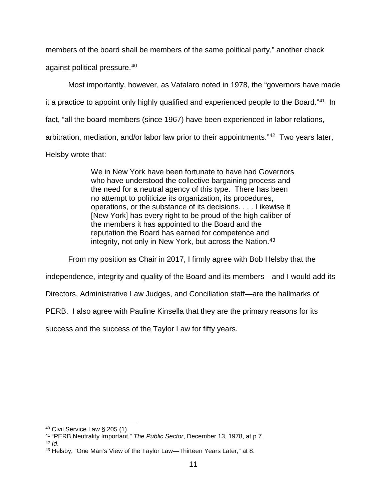members of the board shall be members of the same political party," another check

against political pressure. [40](#page-10-0) 

Most importantly, however, as Vatalaro noted in 1978, the "governors have made

it a practice to appoint only highly qualified and experienced people to the Board.["41](#page-10-1) In

fact, "all the board members (since 1967) have been experienced in labor relations,

arbitration, mediation, and/or labor law prior to their appointments."[42](#page-10-2) Two years later,

Helsby wrote that:

We in New York have been fortunate to have had Governors who have understood the collective bargaining process and the need for a neutral agency of this type. There has been no attempt to politicize its organization, its procedures, operations, or the substance of its decisions. . . . Likewise it [New York] has every right to be proud of the high caliber of the members it has appointed to the Board and the reputation the Board has earned for competence and integrity, not only in New York, but across the Nation.<sup>[43](#page-10-3)</sup>

From my position as Chair in 2017, I firmly agree with Bob Helsby that the

independence, integrity and quality of the Board and its members—and I would add its

Directors, Administrative Law Judges, and Conciliation staff—are the hallmarks of

PERB. I also agree with Pauline Kinsella that they are the primary reasons for its

success and the success of the Taylor Law for fifty years.

<span id="page-10-0"></span> <sup>40</sup> Civil Service Law § <sup>205</sup> (1).

<span id="page-10-1"></span><sup>41</sup> "PERB Neutrality Important," *The Public Sector*, December 13, 1978, at p 7.

<span id="page-10-2"></span><sup>42</sup> *Id*.

<span id="page-10-3"></span><sup>43</sup> Helsby, "One Man's View of the Taylor Law-Thirteen Years Later," at 8.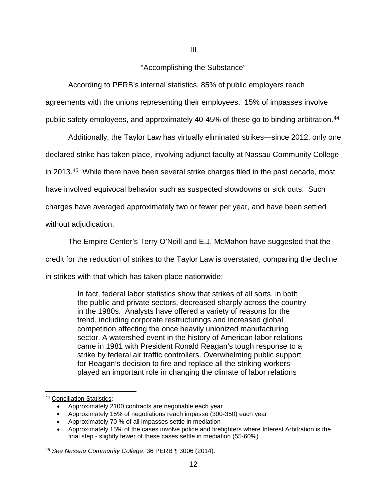## "Accomplishing the Substance"

III

According to PERB's internal statistics, 85% of public employers reach agreements with the unions representing their employees. 15% of impasses involve public safety employees, and approximately 40-45% of these go to binding arbitration.<sup>44</sup>

Additionally, the Taylor Law has virtually eliminated strikes—since 2012, only one declared strike has taken place, involving adjunct faculty at Nassau Community College in 2013. [45](#page-11-1) While there have been several strike charges filed in the past decade, most have involved equivocal behavior such as suspected slowdowns or sick outs. Such charges have averaged approximately two or fewer per year, and have been settled without adjudication.

The Empire Center's Terry O'Neill and E.J. McMahon have suggested that the

credit for the reduction of strikes to the Taylor Law is overstated, comparing the decline

in strikes with that which has taken place nationwide:

In fact, federal labor statistics show that strikes of all sorts, in both the public and private sectors, decreased sharply across the country in the 1980s. Analysts have offered a variety of reasons for the trend, including corporate restructurings and increased global competition affecting the once heavily unionized manufacturing sector. A watershed event in the history of American labor relations came in 1981 with President Ronald Reagan's tough response to a strike by federal air traffic controllers. Overwhelming public support for Reagan's decision to fire and replace all the striking workers played an important role in changing the climate of labor relations

<span id="page-11-0"></span> <sup>44</sup> Conciliation Statistics:

<sup>•</sup> Approximately 2100 contracts are negotiable each year

<sup>•</sup> Approximately 15% of negotiations reach impasse (300-350) each year

<sup>•</sup> Approximately 70 % of all impasses settle in mediation

<sup>•</sup> Approximately 15% of the cases involve police and firefighters where Interest Arbitration is the final step - slightly fewer of these cases settle in mediation (55-60%).

<span id="page-11-1"></span><sup>45</sup> *See Nassau Community College*, 36 PERB ¶ 3006 (2014).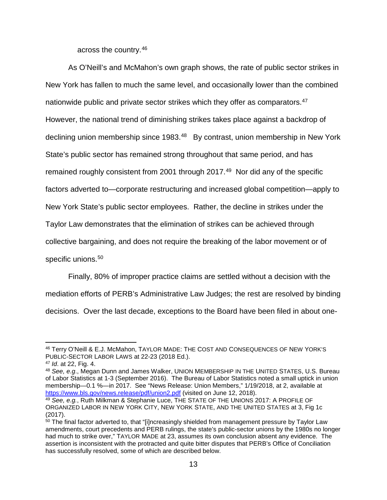across the country. [46](#page-12-0)

As O'Neill's and McMahon's own graph shows, the rate of public sector strikes in New York has fallen to much the same level, and occasionally lower than the combined nationwide public and private sector strikes which they offer as comparators.<sup>47</sup> However, the national trend of diminishing strikes takes place against a backdrop of declining union membership since 1983.<sup>[48](#page-12-2)</sup> By contrast, union membership in New York State's public sector has remained strong throughout that same period, and has remained roughly consistent from 2001 through 2017. [49](#page-12-3) Nor did any of the specific factors adverted to—corporate restructuring and increased global competition—apply to New York State's public sector employees. Rather, the decline in strikes under the Taylor Law demonstrates that the elimination of strikes can be achieved through collective bargaining, and does not require the breaking of the labor movement or of specific unions.<sup>[50](#page-12-4)</sup>

Finally, 80% of improper practice claims are settled without a decision with the mediation efforts of PERB's Administrative Law Judges; the rest are resolved by binding decisions. Over the last decade, exceptions to the Board have been filed in about one-

<span id="page-12-0"></span> <sup>46</sup> Terry O'Neill & E.J. McMahon, TAYLOR MADE: THE COST AND CONSEQUENCES OF NEW YORK'S PUBLIC-SECTOR LABOR LAWS at 22-23 (2018 Ed.).

<span id="page-12-1"></span><sup>47</sup> *Id*. at 22, Fig. 4.

<span id="page-12-2"></span><sup>48</sup> *See, e.g*., Megan Dunn and James Walker, UNION MEMBERSHIP IN THE UNITED STATES, U.S. Bureau of Labor Statistics at 1-3 (September 2016). The Bureau of Labor Statistics noted a small uptick in union membership—0.1 %—in 2017. See "News Release: Union Members," 1/19/2018, at 2, available at <https://www.bls.gov/news.release/pdf/union2.pdf> (visited on June 12, 2018).

<span id="page-12-3"></span><sup>49</sup> *See, e.g.*, Ruth Milkman & Stephanie Luce, THE STATE OF THE UNIONS 2017: A PROFILE OF ORGANIZED LABOR IN NEW YORK CITY, NEW YORK STATE, AND THE UNITED STATES at 3, Fig 1c (2017).

<span id="page-12-4"></span><sup>&</sup>lt;sup>50</sup> The final factor adverted to, that "[i]ncreasingly shielded from management pressure by Taylor Law amendments, court precedents and PERB rulings, the state's public-sector unions by the 1980s no longer had much to strike over," TAYLOR MADE at 23, assumes its own conclusion absent any evidence. The assertion is inconsistent with the protracted and quite bitter disputes that PERB's Office of Conciliation has successfully resolved, some of which are described below.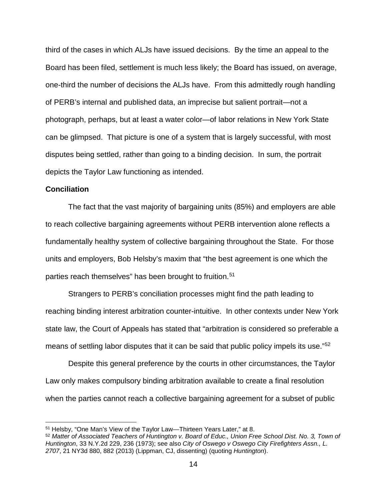third of the cases in which ALJs have issued decisions. By the time an appeal to the Board has been filed, settlement is much less likely; the Board has issued, on average, one-third the number of decisions the ALJs have. From this admittedly rough handling of PERB's internal and published data, an imprecise but salient portrait—not a photograph, perhaps, but at least a water color—of labor relations in New York State can be glimpsed. That picture is one of a system that is largely successful, with most disputes being settled, rather than going to a binding decision. In sum, the portrait depicts the Taylor Law functioning as intended.

### **Conciliation**

The fact that the vast majority of bargaining units (85%) and employers are able to reach collective bargaining agreements without PERB intervention alone reflects a fundamentally healthy system of collective bargaining throughout the State. For those units and employers, Bob Helsby's maxim that "the best agreement is one which the parties reach themselves" has been brought to fruition.<sup>51</sup>

Strangers to PERB's conciliation processes might find the path leading to reaching binding interest arbitration counter-intuitive. In other contexts under New York state law, the Court of Appeals has stated that "arbitration is considered so preferable a means of settling labor disputes that it can be said that public policy impels its use.<sup>752</sup>

Despite this general preference by the courts in other circumstances, the Taylor Law only makes compulsory binding arbitration available to create a final resolution when the parties cannot reach a collective bargaining agreement for a subset of public

<span id="page-13-0"></span> <sup>51</sup> Helsby, "One Man's View of the Taylor Law—Thirteen Years Later," at 8.

<span id="page-13-1"></span><sup>52</sup> *Matter of Associated Teachers of Huntington v. Board of Educ., Union Free School Dist. No. 3, Town of Huntington*, 33 N.Y.2d 229, 236 (1973); see also *City of Oswego v Oswego City Firefighters Assn., L. 2707*, 21 NY3d 880, 882 (2013) (Lippman, CJ, dissenting) (quoting *Huntington*).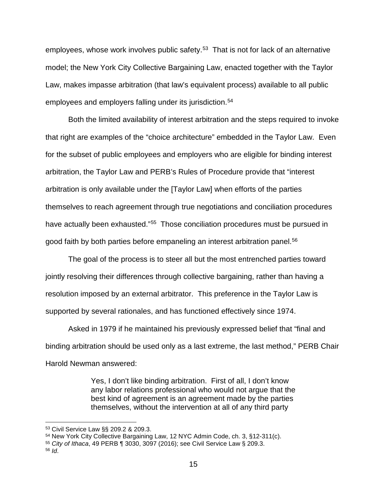employees, whose work involves public safety.<sup>[53](#page-14-0)</sup> That is not for lack of an alternative model; the New York City Collective Bargaining Law, enacted together with the Taylor Law, makes impasse arbitration (that law's equivalent process) available to all public employees and employers falling under its jurisdiction.<sup>54</sup>

Both the limited availability of interest arbitration and the steps required to invoke that right are examples of the "choice architecture" embedded in the Taylor Law. Even for the subset of public employees and employers who are eligible for binding interest arbitration, the Taylor Law and PERB's Rules of Procedure provide that "interest arbitration is only available under the [Taylor Law] when efforts of the parties themselves to reach agreement through true negotiations and conciliation procedures have actually been exhausted."<sup>55</sup> Those conciliation procedures must be pursued in good faith by both parties before empaneling an interest arbitration panel.<sup>[56](#page-14-3)</sup>

The goal of the process is to steer all but the most entrenched parties toward jointly resolving their differences through collective bargaining, rather than having a resolution imposed by an external arbitrator. This preference in the Taylor Law is supported by several rationales, and has functioned effectively since 1974.

Asked in 1979 if he maintained his previously expressed belief that "final and binding arbitration should be used only as a last extreme, the last method," PERB Chair Harold Newman answered:

> Yes, I don't like binding arbitration. First of all, I don't know any labor relations professional who would not argue that the best kind of agreement is an agreement made by the parties themselves, without the intervention at all of any third party

<span id="page-14-0"></span> <sup>53</sup> Civil Service Law §§ 209.2 & 209.3.

<span id="page-14-1"></span><sup>54</sup> New York City Collective Bargaining Law, 12 NYC Admin Code, ch. 3, §12-311(c).

<span id="page-14-2"></span><sup>55</sup> *City of Ithaca*, 49 PERB ¶ 3030, 3097 (2016); see Civil Service Law § 209.3.

<span id="page-14-3"></span><sup>56</sup> *Id*.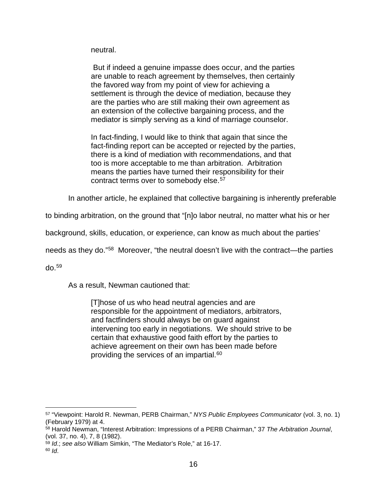neutral.

But if indeed a genuine impasse does occur, and the parties are unable to reach agreement by themselves, then certainly the favored way from my point of view for achieving a settlement is through the device of mediation, because they are the parties who are still making their own agreement as an extension of the collective bargaining process, and the mediator is simply serving as a kind of marriage counselor.

In fact-finding, I would like to think that again that since the fact-finding report can be accepted or rejected by the parties, there is a kind of mediation with recommendations, and that too is more acceptable to me than arbitration. Arbitration means the parties have turned their responsibility for their contract terms over to somebody else.<sup>[57](#page-15-0)</sup>

In another article, he explained that collective bargaining is inherently preferable

to binding arbitration, on the ground that "[n]o labor neutral, no matter what his or her

background, skills, education, or experience, can know as much about the parties'

needs as they do."[58](#page-15-1) Moreover, "the neutral doesn't live with the contract—the parties

do.[59](#page-15-2)

As a result, Newman cautioned that:

[T]hose of us who head neutral agencies and are responsible for the appointment of mediators, arbitrators, and factfinders should always be on guard against intervening too early in negotiations. We should strive to be certain that exhaustive good faith effort by the parties to achieve agreement on their own has been made before providing the services of an impartial.[60](#page-15-3)

<span id="page-15-0"></span> <sup>57</sup> "Viewpoint: Harold R. Newman, PERB Chairman," *NYS Public Employees Communicator* (vol. 3, no. 1) (February 1979) at 4.

<span id="page-15-1"></span><sup>58</sup> Harold Newman, "Interest Arbitration: Impressions of a PERB Chairman," 37 *The Arbitration Journal*, (vol. 37, no. 4), 7, 8 (1982).

<span id="page-15-3"></span><span id="page-15-2"></span><sup>59</sup> *Id*.; *see also* William Simkin, "The Mediator's Role," at 16-17. <sup>60</sup> *Id*.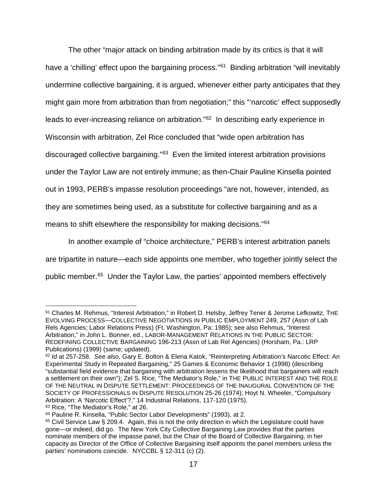The other "major attack on binding arbitration made by its critics is that it will have a 'chilling' effect upon the bargaining process."<sup>61</sup> Binding arbitration "will inevitably undermine collective bargaining, it is argued, whenever either party anticipates that they might gain more from arbitration than from negotiation;" this "'narcotic' effect supposedly leads to ever-increasing reliance on arbitration."[62](#page-16-1) In describing early experience in Wisconsin with arbitration, Zel Rice concluded that "wide open arbitration has discouraged collective bargaining."[63](#page-16-2) Even the limited interest arbitration provisions under the Taylor Law are not entirely immune; as then-Chair Pauline Kinsella pointed out in 1993, PERB's impasse resolution proceedings "are not, however, intended, as they are sometimes being used, as a substitute for collective bargaining and as a means to shift elsewhere the responsibility for making decisions."[64](#page-16-3) 

In another example of "choice architecture," PERB's interest arbitration panels are tripartite in nature—each side appoints one member, who together jointly select the public member.[65](#page-16-4) Under the Taylor Law, the parties' appointed members effectively

<span id="page-16-2"></span><sup>63</sup> Rice, "The Mediator's Role," at 26.

<span id="page-16-0"></span> <sup>61</sup> Charles M. Rehmus, "Interest Arbitration," in Robert D. Helsby, Jeffrey Tener & Jerome Lefkowitz, THE EVOLVING PROCESS—COLLECTIVE NEGOTIATIONS IN PUBLIC EMPLOYMENT 249, 257 (Assn of Lab Rels Agencies; Labor Relations Press) (Ft. Washington, Pa: 1985); see also Rehmus, "Interest Arbitration," in John L. Bonner, ed., LABOR-MANAGEMENT RELATIONS IN THE PUBLIC SECTOR: REDEFINING COLLECTIVE BARGAINING 196-213 (Assn of Lab Rel Agencies) (Horsham, Pa.: LRP Publications) (1999) (same; updated).

<span id="page-16-1"></span><sup>62</sup> *Id* at 257-258. *See also,* Gary E. Bolton & Elena Katok, "Reinterpreting Arbitration's Narcotic Effect: An Experimental Study in Repeated Bargaining," 25 Games & Economic Behavior 1 (1998) (describing "substantial field evidence that bargaining with arbitration lessens the likelihood that bargainers will reach a settlement on their own"); Zel S. Rice, "The Mediator's Role," in THE PUBLIC INTEREST AND THE ROLE OF THE NEUTRAL IN DISPUTE SETTLEMENT: PROCEEDINGS OF THE INAUGURAL CONVENTION OF THE SOCIETY OF PROFESSIONALS IN DISPUTE RESOLUTION 25-26 (1974); Hoyt N. Wheeler, "Compulsory Arbitration: A 'Narcotic Effect'?," 14 Industrial Relations, 117-120 (1975).

<span id="page-16-3"></span><sup>64</sup> Pauline R. Kinsella, "Public Sector Labor Developments" (1993), at 2.

<span id="page-16-4"></span><sup>65</sup> Civil Service Law § 209.4. Again, this is not the only direction in which the Legislature could have gone—or indeed, did go. The New York City Collective Bargaining Law provides that the parties nominate members of the impasse panel, but the Chair of the Board of Collective Bargaining, in her capacity as Director of the Office of Collective Bargaining itself appoints the panel members unless the parties' nominations coincide. NYCCBL § 12-311 (c) (2).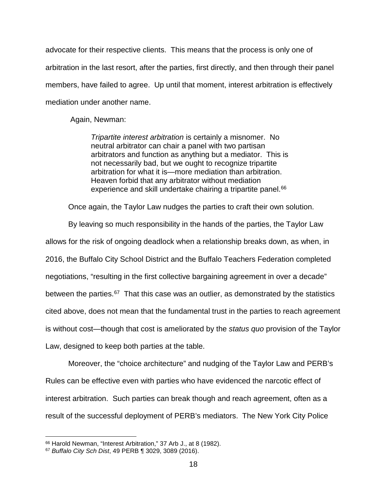advocate for their respective clients. This means that the process is only one of arbitration in the last resort, after the parties, first directly, and then through their panel members, have failed to agree. Up until that moment, interest arbitration is effectively mediation under another name.

Again, Newman:

*Tripartite interest arbitration* is certainly a misnomer. No neutral arbitrator can chair a panel with two partisan arbitrators and function as anything but a mediator. This is not necessarily bad, but we ought to recognize tripartite arbitration for what it is—more mediation than arbitration. Heaven forbid that any arbitrator without mediation experience and skill undertake chairing a tripartite panel.<sup>[66](#page-17-0)</sup>

Once again, the Taylor Law nudges the parties to craft their own solution.

By leaving so much responsibility in the hands of the parties, the Taylor Law allows for the risk of ongoing deadlock when a relationship breaks down, as when, in 2016, the Buffalo City School District and the Buffalo Teachers Federation completed negotiations, "resulting in the first collective bargaining agreement in over a decade" between the parties.<sup>[67](#page-17-1)</sup> That this case was an outlier, as demonstrated by the statistics cited above, does not mean that the fundamental trust in the parties to reach agreement is without cost—though that cost is ameliorated by the *status quo* provision of the Taylor Law, designed to keep both parties at the table.

Moreover, the "choice architecture" and nudging of the Taylor Law and PERB's Rules can be effective even with parties who have evidenced the narcotic effect of interest arbitration. Such parties can break though and reach agreement, often as a result of the successful deployment of PERB's mediators. The New York City Police

<span id="page-17-0"></span> <sup>66</sup> Harold Newman, "Interest Arbitration," 37 Arb J., at 8 (1982).

<span id="page-17-1"></span><sup>67</sup> *Buffalo City Sch Dist*, 49 PERB ¶ 3029, 3089 (2016).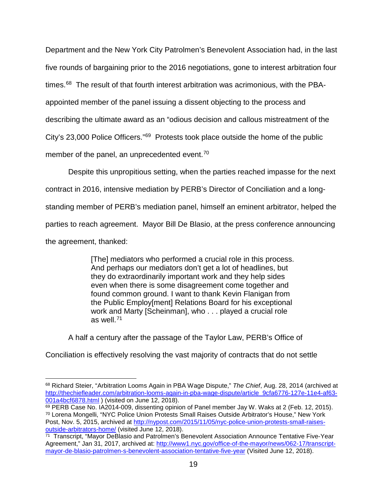Department and the New York City Patrolmen's Benevolent Association had, in the last five rounds of bargaining prior to the 2016 negotiations, gone to interest arbitration four times. $68$  The result of that fourth interest arbitration was acrimonious, with the PBAappointed member of the panel issuing a dissent objecting to the process and describing the ultimate award as an "odious decision and callous mistreatment of the City's 23,000 Police Officers."[69](#page-18-1) Protests took place outside the home of the public member of the panel, an unprecedented event.<sup>[70](#page-18-2)</sup>

Despite this unpropitious setting, when the parties reached impasse for the next

contract in 2016, intensive mediation by PERB's Director of Conciliation and a long-

standing member of PERB's mediation panel, himself an eminent arbitrator, helped the

parties to reach agreement. Mayor Bill De Blasio, at the press conference announcing

the agreement, thanked:

[The] mediators who performed a crucial role in this process. And perhaps our mediators don't get a lot of headlines, but they do extraordinarily important work and they help sides even when there is some disagreement come together and found common ground. I want to thank Kevin Flanigan from the Public Employ[ment] Relations Board for his exceptional work and Marty [Scheinman], who . . . played a crucial role as well.[71](#page-18-3)

A half a century after the passage of the Taylor Law, PERB's Office of

Conciliation is effectively resolving the vast majority of contracts that do not settle

<span id="page-18-0"></span> <sup>68</sup> Richard Steier, "Arbitration Looms Again in PBA Wage Dispute," *The Chief*, Aug. 28, 2014 (archived at [http://thechiefleader.com/arbitration-looms-again-in-pba-wage-dispute/article\\_9cfa6776-127e-11e4-af63-](http://thechiefleader.com/arbitration-looms-again-in-pba-wage-dispute/article_9cfa6776-127e-11e4-af63-001a4bcf6878.html) [001a4bcf6878.html](http://thechiefleader.com/arbitration-looms-again-in-pba-wage-dispute/article_9cfa6776-127e-11e4-af63-001a4bcf6878.html) ) (visited on June 12, 2018).

<span id="page-18-2"></span><span id="page-18-1"></span><sup>69</sup> PERB Case No. IA2014-009, dissenting opinion of Panel member Jay W. Waks at 2 (Feb. 12, 2015). <sup>70</sup> Lorena Mongelli, "NYC Police Union Protests Small Raises Outside Arbitrator's House," New York Post, Nov. 5, 2015, archived at [http://nypost.com/2015/11/05/nyc-police-union-protests-small-raises](http://nypost.com/2015/11/05/nyc-police-union-protests-small-raises-outside-arbitrators-home/)[outside-arbitrators-home/](http://nypost.com/2015/11/05/nyc-police-union-protests-small-raises-outside-arbitrators-home/) (visited June 12, 2018).

<span id="page-18-3"></span> $\frac{1}{71}$  Transcript, "Mayor DeBlasio and Patrolmen's Benevolent Association Announce Tentative Five-Year Agreement," Jan 31, 2017, archived at: [http://www1.nyc.gov/office-of-the-mayor/news/062-17/transcript](http://www1.nyc.gov/office-of-the-mayor/news/062-17/transcript-mayor-de-blasio-patrolmen-s-benevolent-association-tentative-five-year)[mayor-de-blasio-patrolmen-s-benevolent-association-tentative-five-year](http://www1.nyc.gov/office-of-the-mayor/news/062-17/transcript-mayor-de-blasio-patrolmen-s-benevolent-association-tentative-five-year) (Visited June 12, 2018).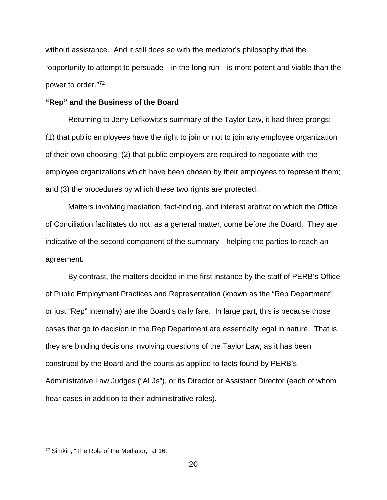without assistance. And it still does so with the mediator's philosophy that the "opportunity to attempt to persuade—in the long run—is more potent and viable than the power to order."[72](#page-19-0)

### **"Rep" and the Business of the Board**

Returning to Jerry Lefkowitz's summary of the Taylor Law, it had three prongs: (1) that public employees have the right to join or not to join any employee organization of their own choosing; (2) that public employers are required to negotiate with the employee organizations which have been chosen by their employees to represent them; and (3) the procedures by which these two rights are protected.

Matters involving mediation, fact-finding, and interest arbitration which the Office of Conciliation facilitates do not, as a general matter, come before the Board. They are indicative of the second component of the summary—helping the parties to reach an agreement.

By contrast, the matters decided in the first instance by the staff of PERB's Office of Public Employment Practices and Representation (known as the "Rep Department" or just "Rep" internally) are the Board's daily fare. In large part, this is because those cases that go to decision in the Rep Department are essentially legal in nature. That is, they are binding decisions involving questions of the Taylor Law, as it has been construed by the Board and the courts as applied to facts found by PERB's Administrative Law Judges ("ALJs"), or its Director or Assistant Director (each of whom hear cases in addition to their administrative roles).

<span id="page-19-0"></span> <sup>72</sup> Simkin, "The Role of the Mediator," at 16.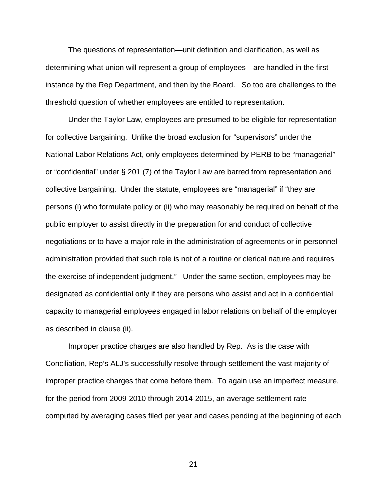The questions of representation—unit definition and clarification, as well as determining what union will represent a group of employees—are handled in the first instance by the Rep Department, and then by the Board. So too are challenges to the threshold question of whether employees are entitled to representation.

Under the Taylor Law, employees are presumed to be eligible for representation for collective bargaining. Unlike the broad exclusion for "supervisors" under the National Labor Relations Act, only employees determined by PERB to be "managerial" or "confidential" under § 201 (7) of the Taylor Law are barred from representation and collective bargaining. Under the statute, employees are "managerial" if "they are persons (i) who formulate policy or (ii) who may reasonably be required on behalf of the public employer to assist directly in the preparation for and conduct of collective negotiations or to have a major role in the administration of agreements or in personnel administration provided that such role is not of a routine or clerical nature and requires the exercise of independent judgment." Under the same section, employees may be designated as confidential only if they are persons who assist and act in a confidential capacity to managerial employees engaged in labor relations on behalf of the employer as described in clause (ii).

Improper practice charges are also handled by Rep. As is the case with Conciliation, Rep's ALJ's successfully resolve through settlement the vast majority of improper practice charges that come before them. To again use an imperfect measure, for the period from 2009-2010 through 2014-2015, an average settlement rate computed by averaging cases filed per year and cases pending at the beginning of each

21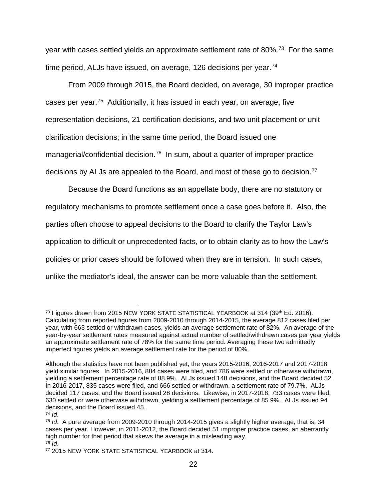year with cases settled yields an approximate settlement rate of 80%.<sup>73</sup> For the same time period, ALJs have issued, on average, 126 decisions per year.<sup>[74](#page-21-1)</sup>

From 2009 through 2015, the Board decided, on average, 30 improper practice cases per year.<sup>[75](#page-21-2)</sup> Additionally, it has issued in each year, on average, five representation decisions, 21 certification decisions, and two unit placement or unit clarification decisions; in the same time period, the Board issued one managerial/confidential decision.<sup>[76](#page-21-3)</sup> In sum, about a quarter of improper practice decisions by ALJs are appealed to the Board, and most of these go to decision.<sup>77</sup>

Because the Board functions as an appellate body, there are no statutory or regulatory mechanisms to promote settlement once a case goes before it. Also, the parties often choose to appeal decisions to the Board to clarify the Taylor Law's application to difficult or unprecedented facts, or to obtain clarity as to how the Law's policies or prior cases should be followed when they are in tension. In such cases, unlike the mediator's ideal, the answer can be more valuable than the settlement.

<span id="page-21-1"></span>

<span id="page-21-0"></span><sup>&</sup>lt;sup>73</sup> Figures drawn from 2015 NEW YORK STATE STATISTICAL YEARBOOK at 314 (39<sup>th</sup> Ed. 2016). Calculating from reported figures from 2009-2010 through 2014-2015, the average 812 cases filed per year, with 663 settled or withdrawn cases, yields an average settlement rate of 82%. An average of the year-by-year settlement rates measured against actual number of settled/withdrawn cases per year yields an approximate settlement rate of 78% for the same time period. Averaging these two admittedly imperfect figures yields an average settlement rate for the period of 80%.

Although the statistics have not been published yet, the years 2015-2016, 2016-2017 and 2017-2018 yield similar figures. In 2015-2016, 884 cases were filed, and 786 were settled or otherwise withdrawn, yielding a settlement percentage rate of 88.9%. ALJs issued 148 decisions, and the Board decided 52. In 2016-2017, 835 cases were filed, and 666 settled or withdrawn, a settlement rate of 79.7%. ALJs decided 117 cases, and the Board issued 28 decisions. Likewise, in 2017-2018, 733 cases were filed, 630 settled or were otherwise withdrawn, yielding a settlement percentage of 85.9%. ALJs issued 94 decisions, and the Board issued 45.<br> $\frac{74}{10}$ 

<span id="page-21-2"></span><sup>&</sup>lt;sup>75</sup> *Id.* A pure average from 2009-2010 through 2014-2015 gives a slightly higher average, that is, 34 cases per year. However, in 2011-2012, the Board decided 51 improper practice cases, an aberrantly high number for that period that skews the average in a misleading way. <sup>76</sup> *Id*.

<span id="page-21-4"></span><span id="page-21-3"></span><sup>77</sup> 2015 NEW YORK STATE STATISTICAL YEARBOOK at 314.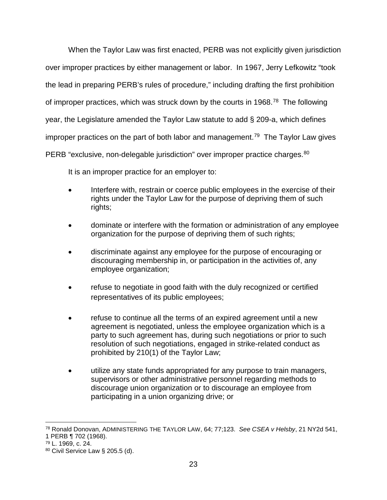When the Taylor Law was first enacted, PERB was not explicitly given jurisdiction over improper practices by either management or labor. In 1967, Jerry Lefkowitz "took the lead in preparing PERB's rules of procedure," including drafting the first prohibition of improper practices, which was struck down by the courts in 1968.<sup>[78](#page-22-0)</sup> The following year, the Legislature amended the Taylor Law statute to add § 209-a, which defines improper practices on the part of both labor and management. [79](#page-22-1) The Taylor Law gives PERB "exclusive, non-delegable jurisdiction" over improper practice charges.<sup>80</sup>

It is an improper practice for an employer to:

- Interfere with, restrain or coerce public employees in the exercise of their rights under the Taylor Law for the purpose of depriving them of such rights;
- dominate or interfere with the formation or administration of any employee organization for the purpose of depriving them of such rights;
- discriminate against any employee for the purpose of encouraging or discouraging membership in, or participation in the activities of, any employee organization;
- refuse to negotiate in good faith with the duly recognized or certified representatives of its public employees;
- refuse to continue all the terms of an expired agreement until a new agreement is negotiated, unless the employee organization which is a party to such agreement has, during such negotiations or prior to such resolution of such negotiations, engaged in strike-related conduct as prohibited by 210(1) of the Taylor Law;
- utilize any state funds appropriated for any purpose to train managers, supervisors or other administrative personnel regarding methods to discourage union organization or to discourage an employee from participating in a union organizing drive; or

<span id="page-22-0"></span> <sup>78</sup> Ronald Donovan, ADMINISTERING THE TAYLOR LAW, 64; 77;123. *See CSEA v Helsby*, 21 NY2d 541,

<sup>1</sup> PERB ¶ 702 (1968).

<span id="page-22-1"></span><sup>79</sup> L. 1969, c. 24.

<span id="page-22-2"></span><sup>80</sup> Civil Service Law § 205.5 (d).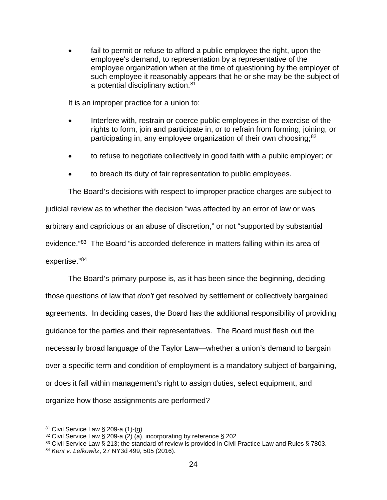fail to permit or refuse to afford a public employee the right, upon the employee's demand, to representation by a representative of the employee organization when at the time of questioning by the employer of such employee it reasonably appears that he or she may be the subject of a potential disciplinary action.<sup>[81](#page-23-0)</sup>

It is an improper practice for a union to:

- Interfere with, restrain or coerce public employees in the exercise of the rights to form, join and participate in, or to refrain from forming, joining, or participating in, any employee organization of their own choosing;<sup>[82](#page-23-1)</sup>
- to refuse to negotiate collectively in good faith with a public employer; or
- to breach its duty of fair representation to public employees.

The Board's decisions with respect to improper practice charges are subject to judicial review as to whether the decision "was affected by an error of law or was arbitrary and capricious or an abuse of discretion," or not "supported by substantial evidence."[83](#page-23-2) The Board "is accorded deference in matters falling within its area of expertise."[84](#page-23-3)

The Board's primary purpose is, as it has been since the beginning, deciding those questions of law that *don't* get resolved by settlement or collectively bargained agreements. In deciding cases, the Board has the additional responsibility of providing guidance for the parties and their representatives. The Board must flesh out the necessarily broad language of the Taylor Law—whether a union's demand to bargain over a specific term and condition of employment is a mandatory subject of bargaining, or does it fall within management's right to assign duties, select equipment, and organize how those assignments are performed?

<span id="page-23-0"></span> <sup>81</sup> Civil Service Law § 209-a (1)-(g).

<span id="page-23-1"></span><sup>82</sup> Civil Service Law § 209-a (2) (a), incorporating by reference § 202.

<span id="page-23-2"></span><sup>83</sup> Civil Service Law § 213; the standard of review is provided in Civil Practice Law and Rules § 7803.

<span id="page-23-3"></span><sup>84</sup> *Kent v. Lefkowitz*, 27 NY3d 499, 505 (2016).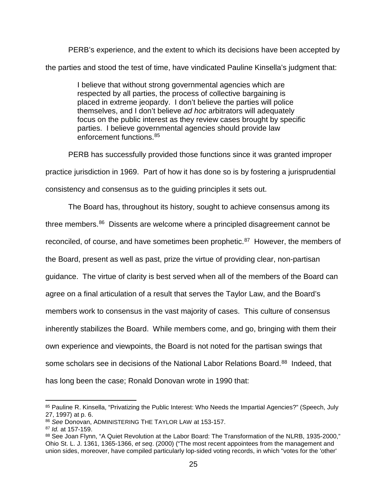PERB's experience, and the extent to which its decisions have been accepted by the parties and stood the test of time, have vindicated Pauline Kinsella's judgment that:

> I believe that without strong governmental agencies which are respected by all parties, the process of collective bargaining is placed in extreme jeopardy. I don't believe the parties will police themselves, and I don't believe *ad hoc* arbitrators will adequately focus on the public interest as they review cases brought by specific parties. I believe governmental agencies should provide law enforcement functions.[85](#page-24-0)

PERB has successfully provided those functions since it was granted improper practice jurisdiction in 1969. Part of how it has done so is by fostering a jurisprudential consistency and consensus as to the guiding principles it sets out.

The Board has, throughout its history, sought to achieve consensus among its three members.[86](#page-24-1) Dissents are welcome where a principled disagreement cannot be reconciled, of course, and have sometimes been prophetic.<sup>87</sup> However, the members of the Board, present as well as past, prize the virtue of providing clear, non-partisan guidance. The virtue of clarity is best served when all of the members of the Board can agree on a final articulation of a result that serves the Taylor Law, and the Board's members work to consensus in the vast majority of cases. This culture of consensus inherently stabilizes the Board. While members come, and go, bringing with them their own experience and viewpoints, the Board is not noted for the partisan swings that some scholars see in decisions of the National Labor Relations Board.<sup>[88](#page-24-3)</sup> Indeed, that has long been the case; Ronald Donovan wrote in 1990 that:

<span id="page-24-0"></span><sup>85</sup> Pauline R. Kinsella, "Privatizing the Public Interest: Who Needs the Impartial Agencies?" (Speech, July 27, 1997) at p. 6.

<span id="page-24-1"></span><sup>86</sup> *See* Donovan, ADMINISTERING THE TAYLOR LAW at 153-157.

<span id="page-24-2"></span><sup>87</sup> *Id.* at 157-159.

<span id="page-24-3"></span><sup>88</sup> See Joan Flynn, "A Quiet Revolution at the Labor Board: The Transformation of the NLRB, 1935-2000," Ohio St. L. J. 1361, 1365-1366, *et seq*. (2000) ("The most recent appointees from the management and union sides, moreover, have compiled particularly lop-sided voting records, in which "votes for the 'other'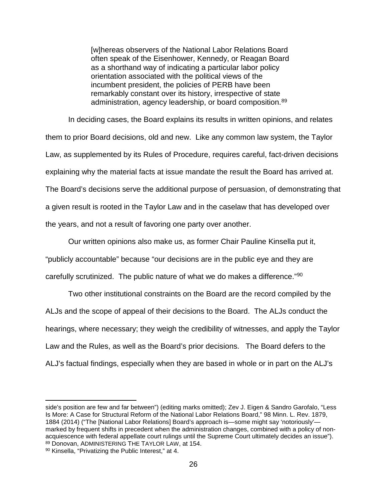[w]hereas observers of the National Labor Relations Board often speak of the Eisenhower, Kennedy, or Reagan Board as a shorthand way of indicating a particular labor policy orientation associated with the political views of the incumbent president, the policies of PERB have been remarkably constant over its history, irrespective of state administration, agency leadership, or board composition.<sup>[89](#page-25-0)</sup>

In deciding cases, the Board explains its results in written opinions, and relates them to prior Board decisions, old and new. Like any common law system, the Taylor Law, as supplemented by its Rules of Procedure, requires careful, fact-driven decisions explaining why the material facts at issue mandate the result the Board has arrived at. The Board's decisions serve the additional purpose of persuasion, of demonstrating that a given result is rooted in the Taylor Law and in the caselaw that has developed over the years, and not a result of favoring one party over another.

Our written opinions also make us, as former Chair Pauline Kinsella put it, "publicly accountable" because "our decisions are in the public eye and they are carefully scrutinized. The public nature of what we do makes a difference."[90](#page-25-1)

Two other institutional constraints on the Board are the record compiled by the ALJs and the scope of appeal of their decisions to the Board. The ALJs conduct the hearings, where necessary; they weigh the credibility of witnesses, and apply the Taylor Law and the Rules, as well as the Board's prior decisions. The Board defers to the ALJ's factual findings, especially when they are based in whole or in part on the ALJ's

side's position are few and far between") (editing marks omitted); Zev J. Eigen & Sandro Garofalo, "Less Is More: A Case for Structural Reform of the National Labor Relations Board," 98 Minn. L. Rev. 1879, 1884 (2014) ("The [National Labor Relations] Board's approach is—some might say 'notoriously' marked by frequent shifts in precedent when the administration changes, combined with a policy of nonacquiescence with federal appellate court rulings until the Supreme Court ultimately decides an issue").<br><sup>89</sup> Donovan, ADMINISTERING THE TAYLOR LAW, at 154.

<span id="page-25-1"></span><span id="page-25-0"></span><sup>90</sup> Kinsella, "Privatizing the Public Interest," at 4.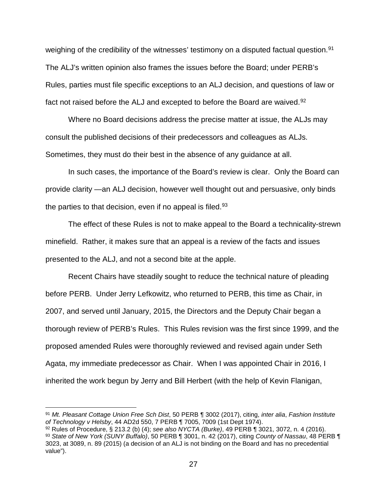weighing of the credibility of the witnesses' testimony on a disputed factual question.<sup>[91](#page-26-0)</sup> The ALJ's written opinion also frames the issues before the Board; under PERB's Rules, parties must file specific exceptions to an ALJ decision, and questions of law or fact not raised before the ALJ and excepted to before the Board are waived.<sup>[92](#page-26-1)</sup>

Where no Board decisions address the precise matter at issue, the ALJs may consult the published decisions of their predecessors and colleagues as ALJs. Sometimes, they must do their best in the absence of any guidance at all.

In such cases, the importance of the Board's review is clear. Only the Board can provide clarity —an ALJ decision, however well thought out and persuasive, only binds the parties to that decision, even if no appeal is filed.<sup>[93](#page-26-2)</sup>

The effect of these Rules is not to make appeal to the Board a technicality-strewn minefield. Rather, it makes sure that an appeal is a review of the facts and issues presented to the ALJ, and not a second bite at the apple.

Recent Chairs have steadily sought to reduce the technical nature of pleading before PERB. Under Jerry Lefkowitz, who returned to PERB, this time as Chair, in 2007, and served until January, 2015, the Directors and the Deputy Chair began a thorough review of PERB's Rules. This Rules revision was the first since 1999, and the proposed amended Rules were thoroughly reviewed and revised again under Seth Agata, my immediate predecessor as Chair. When I was appointed Chair in 2016, I inherited the work begun by Jerry and Bill Herbert (with the help of Kevin Flanigan,

<span id="page-26-0"></span> <sup>91</sup> *Mt. Pleasant Cottage Union Free Sch Dist*, 50 PERB ¶ 3002 (2017), citing, *inter alia*, *Fashion Institute of Technology v Helsby*, 44 AD2d 550, 7 PERB ¶ 7005, 7009 (1st Dept 1974).

<span id="page-26-2"></span><span id="page-26-1"></span><sup>92</sup> Rules of Procedure, § 213.2 (b) (4); *see also NYCTA (Burke)*, 49 PERB ¶ 3021, 3072, n. 4 (2016). <sup>93</sup> *State of New York (SUNY Buffalo)*, 50 PERB ¶ 3001, n. 42 (2017), citing *County of Nassau*, 48 PERB ¶ 3023, at 3089, n. 89 (2015) (a decision of an ALJ is not binding on the Board and has no precedential value").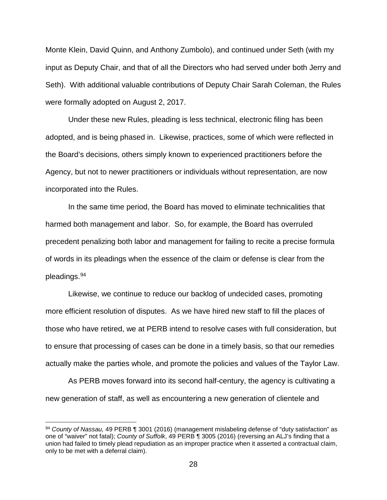Monte Klein, David Quinn, and Anthony Zumbolo), and continued under Seth (with my input as Deputy Chair, and that of all the Directors who had served under both Jerry and Seth). With additional valuable contributions of Deputy Chair Sarah Coleman, the Rules were formally adopted on August 2, 2017.

Under these new Rules, pleading is less technical, electronic filing has been adopted, and is being phased in. Likewise, practices, some of which were reflected in the Board's decisions, others simply known to experienced practitioners before the Agency, but not to newer practitioners or individuals without representation, are now incorporated into the Rules.

In the same time period, the Board has moved to eliminate technicalities that harmed both management and labor. So, for example, the Board has overruled precedent penalizing both labor and management for failing to recite a precise formula of words in its pleadings when the essence of the claim or defense is clear from the pleadings.<sup>[94](#page-27-0)</sup>

Likewise, we continue to reduce our backlog of undecided cases, promoting more efficient resolution of disputes. As we have hired new staff to fill the places of those who have retired, we at PERB intend to resolve cases with full consideration, but to ensure that processing of cases can be done in a timely basis, so that our remedies actually make the parties whole, and promote the policies and values of the Taylor Law.

As PERB moves forward into its second half-century, the agency is cultivating a new generation of staff, as well as encountering a new generation of clientele and

<span id="page-27-0"></span> <sup>94</sup> *County of Nassau,* 49 PERB ¶ 3001 (2016) (management mislabeling defense of "duty satisfaction" as one of "waiver" not fatal); *County of Suffolk*, 49 PERB ¶ 3005 (2016) (reversing an ALJ's finding that a union had failed to timely plead repudiation as an improper practice when it asserted a contractual claim, only to be met with a deferral claim).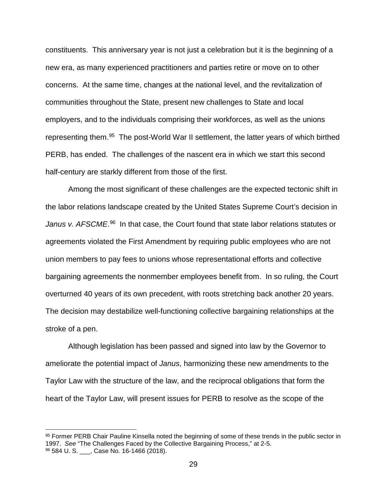constituents. This anniversary year is not just a celebration but it is the beginning of a new era, as many experienced practitioners and parties retire or move on to other concerns. At the same time, changes at the national level, and the revitalization of communities throughout the State, present new challenges to State and local employers, and to the individuals comprising their workforces, as well as the unions representing them.<sup>[95](#page-28-0)</sup> The post-World War II settlement, the latter years of which birthed PERB, has ended. The challenges of the nascent era in which we start this second half-century are starkly different from those of the first.

Among the most significant of these challenges are the expected tectonic shift in the labor relations landscape created by the United States Supreme Court's decision in Janus v. AFSCME.<sup>96</sup> In that case, the Court found that state labor relations statutes or agreements violated the First Amendment by requiring public employees who are not union members to pay fees to unions whose representational efforts and collective bargaining agreements the nonmember employees benefit from. In so ruling, the Court overturned 40 years of its own precedent, with roots stretching back another 20 years. The decision may destabilize well-functioning collective bargaining relationships at the stroke of a pen.

Although legislation has been passed and signed into law by the Governor to ameliorate the potential impact of *Janus*, harmonizing these new amendments to the Taylor Law with the structure of the law, and the reciprocal obligations that form the heart of the Taylor Law, will present issues for PERB to resolve as the scope of the

<span id="page-28-1"></span><span id="page-28-0"></span><sup>95</sup> Former PERB Chair Pauline Kinsella noted the beginning of some of these trends in the public sector in 1997. *See* "The Challenges Faced by the Collective Bargaining Process," at 2-5. 96 584 U.S. \_\_\_, Case No. 16-1466 (2018).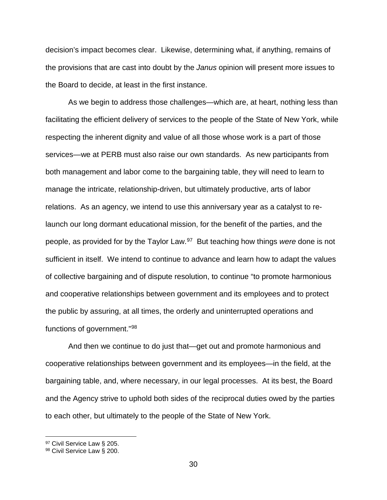decision's impact becomes clear. Likewise, determining what, if anything, remains of the provisions that are cast into doubt by the *Janus* opinion will present more issues to the Board to decide, at least in the first instance.

As we begin to address those challenges—which are, at heart, nothing less than facilitating the efficient delivery of services to the people of the State of New York, while respecting the inherent dignity and value of all those whose work is a part of those services—we at PERB must also raise our own standards. As new participants from both management and labor come to the bargaining table, they will need to learn to manage the intricate, relationship-driven, but ultimately productive, arts of labor relations. As an agency, we intend to use this anniversary year as a catalyst to relaunch our long dormant educational mission, for the benefit of the parties, and the people, as provided for by the Taylor Law.[97](#page-29-0) But teaching how things *were* done is not sufficient in itself. We intend to continue to advance and learn how to adapt the values of collective bargaining and of dispute resolution, to continue "to promote harmonious and cooperative relationships between government and its employees and to protect the public by assuring, at all times, the orderly and uninterrupted operations and functions of government."[98](#page-29-1) 

And then we continue to do just that—get out and promote harmonious and cooperative relationships between government and its employees—in the field, at the bargaining table, and, where necessary, in our legal processes. At its best, the Board and the Agency strive to uphold both sides of the reciprocal duties owed by the parties to each other, but ultimately to the people of the State of New York.

<span id="page-29-0"></span><sup>97</sup> Civil Service Law § 205.

<span id="page-29-1"></span><sup>98</sup> Civil Service Law § 200.